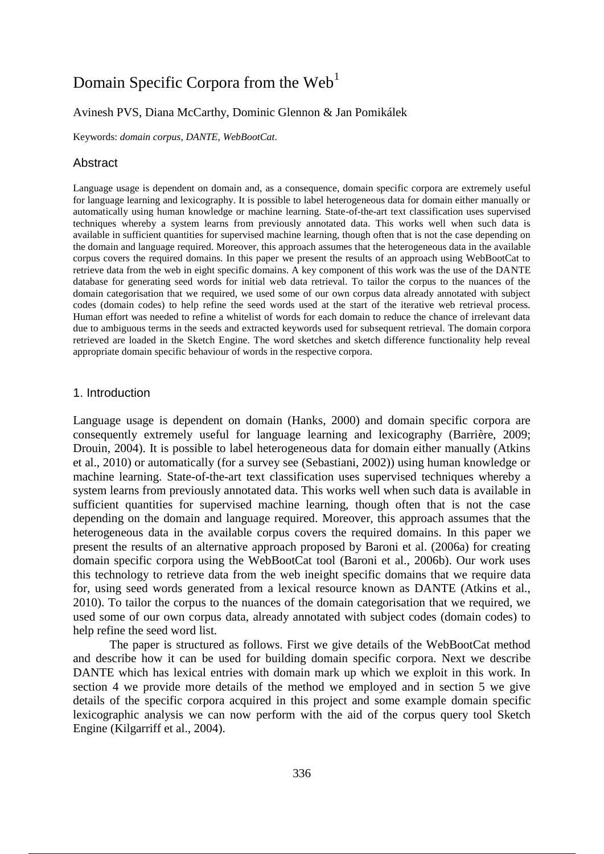# Domain Specific Corpora from the  $Web<sup>1</sup>$

# Avinesh PVS, Diana McCarthy, Dominic Glennon & Jan Pomikálek

Keywords: *domain corpus*, *DANTE*, *WebBootCat*.

#### Abstract

Language usage is dependent on domain and, as a consequence, domain specific corpora are extremely useful for language learning and lexicography. It is possible to label heterogeneous data for domain either manually or automatically using human knowledge or machine learning. State-of-the-art text classification uses supervised techniques whereby a system learns from previously annotated data. This works well when such data is available in sufficient quantities for supervised machine learning, though often that is not the case depending on the domain and language required. Moreover, this approach assumes that the heterogeneous data in the available corpus covers the required domains. In this paper we present the results of an approach using WebBootCat to retrieve data from the web in eight specific domains. A key component of this work was the use of the DANTE database for generating seed words for initial web data retrieval. To tailor the corpus to the nuances of the domain categorisation that we required, we used some of our own corpus data already annotated with subject codes (domain codes) to help refine the seed words used at the start of the iterative web retrieval process. Human effort was needed to refine a whitelist of words for each domain to reduce the chance of irrelevant data due to ambiguous terms in the seeds and extracted keywords used for subsequent retrieval. The domain corpora retrieved are loaded in the Sketch Engine. The word sketches and sketch difference functionality help reveal appropriate domain specific behaviour of words in the respective corpora.

#### 1. Introduction

Language usage is dependent on domain (Hanks, 2000) and domain specific corpora are consequently extremely useful for language learning and lexicography (Barrière, 2009; Drouin, 2004). It is possible to label heterogeneous data for domain either manually (Atkins et al., 2010) or automatically (for a survey see (Sebastiani, 2002)) using human knowledge or machine learning. State-of-the-art text classification uses supervised techniques whereby a system learns from previously annotated data. This works well when such data is available in sufficient quantities for supervised machine learning, though often that is not the case depending on the domain and language required. Moreover, this approach assumes that the heterogeneous data in the available corpus covers the required domains. In this paper we present the results of an alternative approach proposed by Baroni et al. (2006a) for creating domain specific corpora using the WebBootCat tool (Baroni et al., 2006b). Our work uses this technology to retrieve data from the web ineight specific domains that we require data for, using seed words generated from a lexical resource known as DANTE (Atkins et al., 2010). To tailor the corpus to the nuances of the domain categorisation that we required, we used some of our own corpus data, already annotated with subject codes (domain codes) to help refine the seed word list.

The paper is structured as follows. First we give details of the WebBootCat method and describe how it can be used for building domain specific corpora. Next we describe DANTE which has lexical entries with domain mark up which we exploit in this work. In section 4 we provide more details of the method we employed and in section 5 we give details of the specific corpora acquired in this project and some example domain specific lexicographic analysis we can now perform with the aid of the corpus query tool Sketch Engine (Kilgarriff et al., 2004).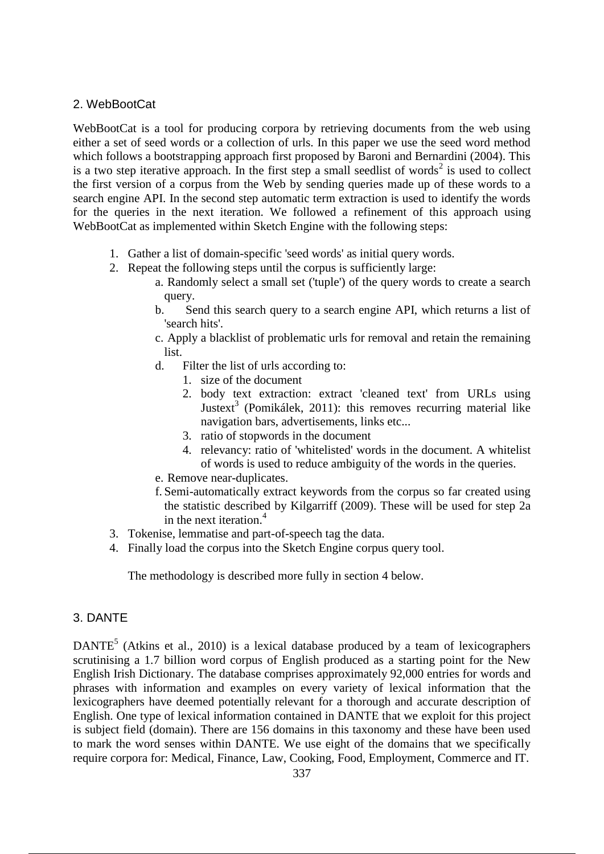# 2. WebBootCat

WebBootCat is a tool for producing corpora by retrieving documents from the web using either a set of seed words or a collection of urls. In this paper we use the seed word method which follows a bootstrapping approach first proposed by Baroni and Bernardini (2004). This is a two step iterative approach. In the first step a small seedlist of words<sup>2</sup> is used to collect the first version of a corpus from the Web by sending queries made up of these words to a search engine API. In the second step automatic term extraction is used to identify the words for the queries in the next iteration. We followed a refinement of this approach using WebBootCat as implemented within Sketch Engine with the following steps:

- 1. Gather a list of domain-specific 'seed words' as initial query words.
- 2. Repeat the following steps until the corpus is sufficiently large:
	- a. Randomly select a small set ('tuple') of the query words to create a search query.
	- b. Send this search query to a search engine API, which returns a list of 'search hits'.
	- c. Apply a blacklist of problematic urls for removal and retain the remaining list.
	- d. Filter the list of urls according to:
		- 1. size of the document
		- 2. body text extraction: extract 'cleaned text' from URLs using Justext<sup>3</sup> (Pomikálek, 2011): this removes recurring material like navigation bars, advertisements, links etc...
		- 3. ratio of stopwords in the document
		- 4. relevancy: ratio of 'whitelisted' words in the document. A whitelist of words is used to reduce ambiguity of the words in the queries.
	- e. Remove near-duplicates.
	- f. Semi-automatically extract keywords from the corpus so far created using the statistic described by Kilgarriff (2009). These will be used for step 2a in the next iteration.<sup>4</sup>
- 3. Tokenise, lemmatise and part-of-speech tag the data.
- 4. Finally load the corpus into the Sketch Engine corpus query tool.

The methodology is described more fully in section 4 below.

# 3. DANTE

DANTE<sup>5</sup> (Atkins et al., 2010) is a lexical database produced by a team of lexicographers scrutinising a 1.7 billion word corpus of English produced as a starting point for the New English Irish Dictionary. The database comprises approximately 92,000 entries for words and phrases with information and examples on every variety of lexical information that the lexicographers have deemed potentially relevant for a thorough and accurate description of English. One type of lexical information contained in DANTE that we exploit for this project is subject field (domain). There are 156 domains in this taxonomy and these have been used to mark the word senses within DANTE. We use eight of the domains that we specifically require corpora for: Medical, Finance, Law, Cooking, Food, Employment, Commerce and IT.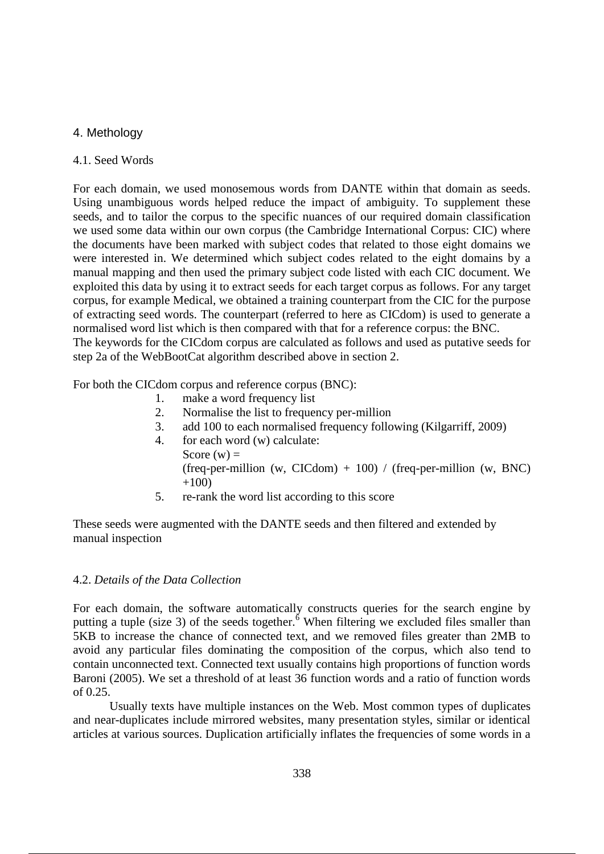# 4. Methology

#### 4.1. Seed Words

For each domain, we used monosemous words from DANTE within that domain as seeds. Using unambiguous words helped reduce the impact of ambiguity. To supplement these seeds, and to tailor the corpus to the specific nuances of our required domain classification we used some data within our own corpus (the Cambridge International Corpus: CIC) where the documents have been marked with subject codes that related to those eight domains we were interested in. We determined which subject codes related to the eight domains by a manual mapping and then used the primary subject code listed with each CIC document. We exploited this data by using it to extract seeds for each target corpus as follows. For any target corpus, for example Medical, we obtained a training counterpart from the CIC for the purpose of extracting seed words. The counterpart (referred to here as CICdom) is used to generate a normalised word list which is then compared with that for a reference corpus: the BNC. The keywords for the CICdom corpus are calculated as follows and used as putative seeds for step 2a of the WebBootCat algorithm described above in section 2.

For both the CICdom corpus and reference corpus (BNC):

- 1. make a word frequency list
- 2. Normalise the list to frequency per-million
- 3. add 100 to each normalised frequency following (Kilgarriff, 2009)
- 4. for each word (w) calculate: Score  $(w)$  = (freq-per-million (w, CICdom) + 100) / (freq-per-million (w, BNC)  $+100$
- 5. re-rank the word list according to this score

These seeds were augmented with the DANTE seeds and then filtered and extended by manual inspection

#### 4.2. *Details of the Data Collection*

For each domain, the software automatically constructs queries for the search engine by putting a tuple (size 3) of the seeds together.<sup> $\delta$ </sup> When filtering we excluded files smaller than 5KB to increase the chance of connected text, and we removed files greater than 2MB to avoid any particular files dominating the composition of the corpus, which also tend to contain unconnected text. Connected text usually contains high proportions of function words Baroni (2005). We set a threshold of at least 36 function words and a ratio of function words of 0.25.

Usually texts have multiple instances on the Web. Most common types of duplicates and near-duplicates include mirrored websites, many presentation styles, similar or identical articles at various sources. Duplication artificially inflates the frequencies of some words in a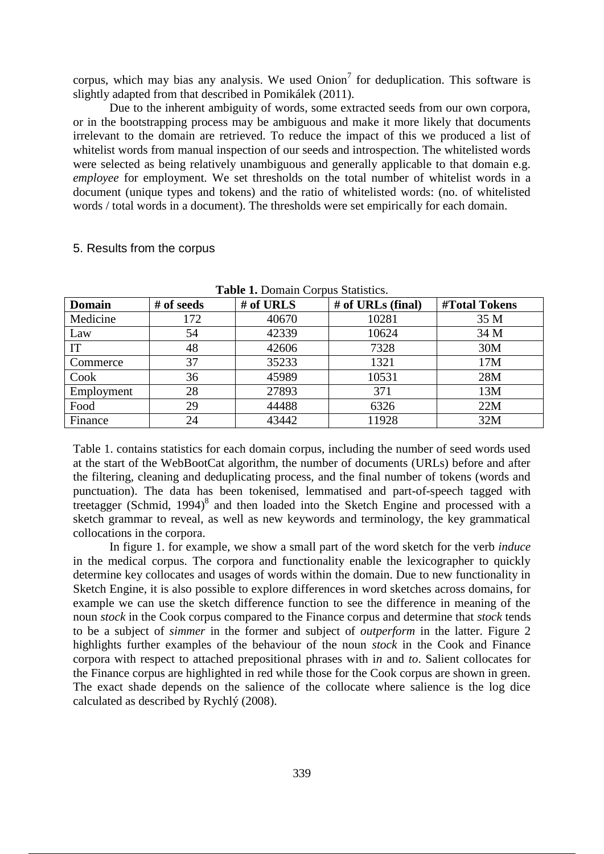corpus, which may bias any analysis. We used  $Onion<sup>7</sup>$  for deduplication. This software is slightly adapted from that described in Pomikálek (2011).

Due to the inherent ambiguity of words, some extracted seeds from our own corpora, or in the bootstrapping process may be ambiguous and make it more likely that documents irrelevant to the domain are retrieved. To reduce the impact of this we produced a list of whitelist words from manual inspection of our seeds and introspection. The whitelisted words were selected as being relatively unambiguous and generally applicable to that domain e.g. *employee* for employment. We set thresholds on the total number of whitelist words in a document (unique types and tokens) and the ratio of whitelisted words: (no. of whitelisted words / total words in a document). The thresholds were set empirically for each domain.

| <b>Table 1. Domain Corpus Statistics.</b> |            |           |                   |               |  |
|-------------------------------------------|------------|-----------|-------------------|---------------|--|
| <b>Domain</b>                             | # of seeds | # of URLS | # of URLs (final) | #Total Tokens |  |
| Medicine                                  | 172        | 40670     | 10281             | 35 M          |  |
| Law                                       | 54         | 42339     | 10624             | 34 M          |  |
| IT                                        | 48         | 42606     | 7328              | 30M           |  |
| Commerce                                  | 37         | 35233     | 1321              | 17M           |  |
| Cook                                      | 36         | 45989     | 10531             | 28M           |  |
| Employment                                | 28         | 27893     | 371               | 13M           |  |
| Food                                      | 29         | 44488     | 6326              | 22M           |  |
| Finance                                   | 24         | 43442     | 11928             | 32M           |  |

#### 5. Results from the corpus

Table 1. contains statistics for each domain corpus, including the number of seed words used at the start of the WebBootCat algorithm, the number of documents (URLs) before and after the filtering, cleaning and deduplicating process, and the final number of tokens (words and punctuation). The data has been tokenised, lemmatised and part-of-speech tagged with treetagger (Schmid, 1994) $8$  and then loaded into the Sketch Engine and processed with a sketch grammar to reveal, as well as new keywords and terminology, the key grammatical collocations in the corpora.

In figure 1. for example, we show a small part of the word sketch for the verb *induce* in the medical corpus. The corpora and functionality enable the lexicographer to quickly determine key collocates and usages of words within the domain. Due to new functionality in Sketch Engine, it is also possible to explore differences in word sketches across domains, for example we can use the sketch difference function to see the difference in meaning of the noun *stock* in the Cook corpus compared to the Finance corpus and determine that *stock* tends to be a subject of *simmer* in the former and subject of *outperform* in the latter. Figure 2 highlights further examples of the behaviour of the noun *stock* in the Cook and Finance corpora with respect to attached prepositional phrases with i*n* and *to*. Salient collocates for the Finance corpus are highlighted in red while those for the Cook corpus are shown in green. The exact shade depends on the salience of the collocate where salience is the log dice calculated as described by Rychlý (2008).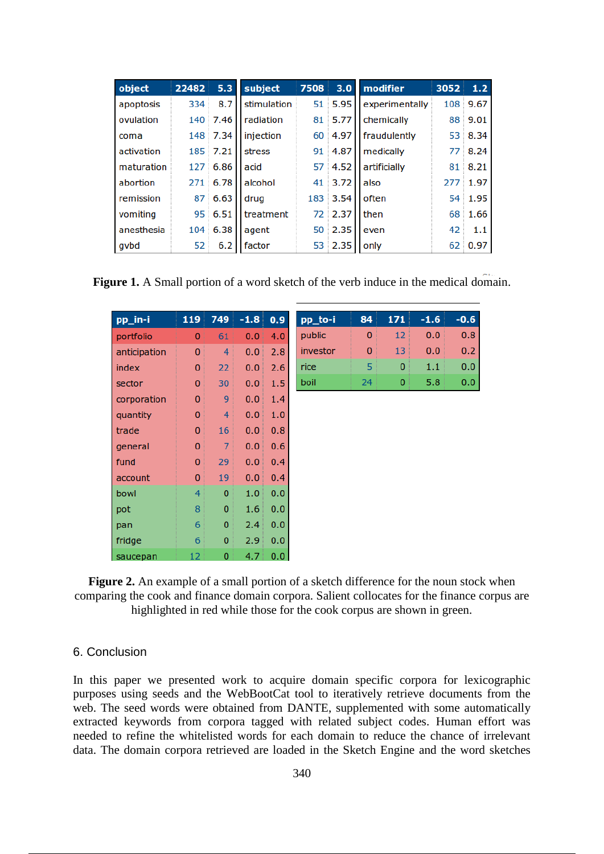| object     | 22482 | 5.3      | subject     | 7508 | 3.0       | modifier       | 3052 | 1.2      |
|------------|-------|----------|-------------|------|-----------|----------------|------|----------|
| apoptosis  | 334   | 8.7      | stimulation |      | $51$ 5.95 | experimentally |      | 108 9.67 |
| ovulation  |       | 140 7.46 | radiation   | 81   | 5.77      | chemically     |      | 88 9.01  |
| coma       |       | 148 7.34 | injection   | 60   | 4.97      | fraudulently   |      | 53 8.34  |
| activation |       | 185 7.21 | stress      | 91   | 4.87      | medically      |      | 77 8.24  |
| maturation |       | 127 6.86 | acid        |      | 57 4.52   | artificially   |      | 81 8.21  |
| abortion   | 271   | 6.78     | alcohol     | 41   | 3.72      | also           |      | 277 1.97 |
| remission  |       | 87 6.63  | drua        |      | 183 3.54  | often          |      | 54 1.95  |
| vomiting   |       | 95 6.51  | treatment   |      | 72 2.37   | then           | 68   | 1.66     |
| anesthesia | 104   | 6.38     | agent       | 50   | 2.35      | even           | 42   | 1.1      |
| qvbd       | 52    | 6.2      | factor      |      | 53 2.35   | only           | 62   | 0.97     |

Figure 1. A Small portion of a word sketch of the verb induce in the medical domain.

| pp_in-i      | 119      | 749            | $-1.8$ | 0.9 |
|--------------|----------|----------------|--------|-----|
| portfolio    | 0        | 61             | 0.0    | 4.0 |
| anticipation | 0        | 4              | 0.0    | 2.8 |
| index        | $\bf{0}$ | 22             | 0.0    | 2.6 |
| sector       | 0        | 30             | 0.0    | 1.5 |
| corporation  | 0        | 9              | 0.0    | 1.4 |
| quantity     | 0        | 4              | 0.0    | 1.0 |
| trade        | 0        | 16             | 0.0    | 0.8 |
| general      | $\bf{0}$ | 7              | 0.0    | 0.6 |
| fund         | 0        | 29             | 0.0    | 0.4 |
| account      | 0        | 19             | 0.0    | 0.4 |
| bowl         | 4        | 0              | 1.0    | 0.0 |
| pot          | 8        | $\Omega$       | 1.6    | 0.0 |
| pan          | 6        | 0              | 2.4    | 0.0 |
| fridge       | 6        | $\overline{0}$ | 2.9    | 0.0 |
| saucepan     | 12       | 0              | 4.7    | 0.0 |

| pp_to-i  | 84 | 171 | $-1.6$ | -0.6 |
|----------|----|-----|--------|------|
| public   | 0  | 12  | 0.0    | 0.8  |
| investor | O  | 13  | 0.0    | 0.2  |
| rice     | 5  | 0   | 1.1    | 0.0  |
| boil     | 24 | Ω   | 5.8    | 0.0  |

**Figure 2.** An example of a small portion of a sketch difference for the noun stock when comparing the cook and finance domain corpora. Salient collocates for the finance corpus are highlighted in red while those for the cook corpus are shown in green.

#### 6. Conclusion

In this paper we presented work to acquire domain specific corpora for lexicographic purposes using seeds and the WebBootCat tool to iteratively retrieve documents from the web. The seed words were obtained from DANTE, supplemented with some automatically extracted keywords from corpora tagged with related subject codes. Human effort was needed to refine the whitelisted words for each domain to reduce the chance of irrelevant data. The domain corpora retrieved are loaded in the Sketch Engine and the word sketches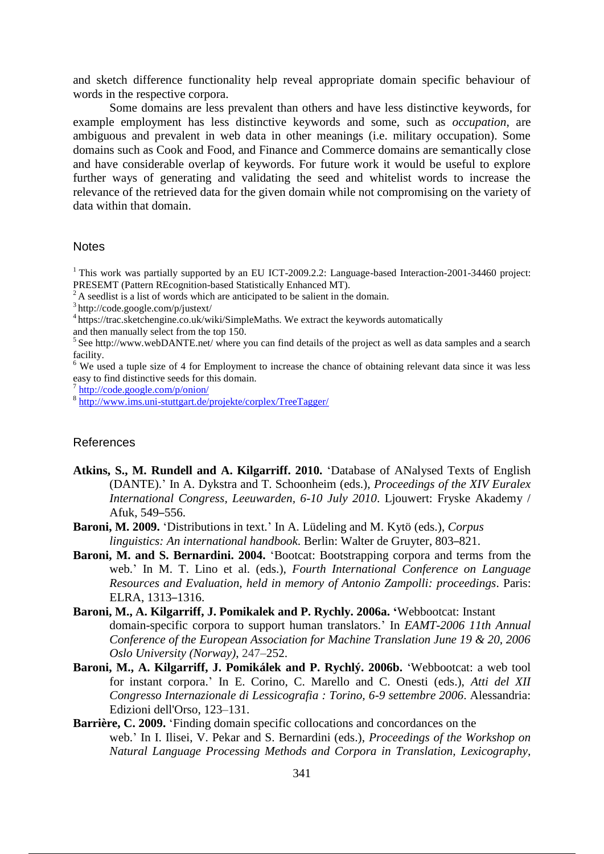and sketch difference functionality help reveal appropriate domain specific behaviour of words in the respective corpora.

Some domains are less prevalent than others and have less distinctive keywords, for example employment has less distinctive keywords and some, such as *occupation*, are ambiguous and prevalent in web data in other meanings (i.e. military occupation). Some domains such as Cook and Food, and Finance and Commerce domains are semantically close and have considerable overlap of keywords. For future work it would be useful to explore further ways of generating and validating the seed and whitelist words to increase the relevance of the retrieved data for the given domain while not compromising on the variety of data within that domain.

#### **Notes**

<sup>1</sup> This work was partially supported by an EU ICT-2009.2.2: Language-based Interaction-2001-34460 project: PRESEMT (Pattern REcognition-based Statistically Enhanced MT).

 $2^2$ A seedlist is a list of words which are anticipated to be salient in the domain.

3 http://code.google.com/p/justext/

<sup>4</sup> https://trac.sketchengine.co.uk/wiki/SimpleMaths. We extract the keywords automatically

and then manually select from the top 150.

<sup>5</sup> See http://www.webDANTE.net/ where you can find details of the project as well as data samples and a search facility.

<sup>6</sup> We used a tuple size of 4 for Employment to increase the chance of obtaining relevant data since it was less easy to find distinctive seeds for this domain.

7 http://code.google.com/p/onion/

8 http://www.ims.uni-stuttgart.de/projekte/corplex/TreeTagger/

# References

**Atkins, S., M. Rundell and A. Kilgarriff. 2010.** 'Database of ANalysed Texts of English (DANTE).' In A. Dykstra and T. Schoonheim (eds.), *Proceedings of the XIV Euralex International Congress, Leeuwarden, 6-10 July 2010*. Ljouwert: Fryske Akademy / Afuk, 549–556.

**Baroni, M. 2009.** 'Distributions in text.' In A. Lüdeling and M. Kytö (eds.), *Corpus linguistics: An international handbook.* Berlin: Walter de Gruyter, 803–821.

- **Baroni, M. and S. Bernardini. 2004.** 'Bootcat: Bootstrapping corpora and terms from the web.' In M. T. Lino et al. (eds.), *Fourth International Conference on Language Resources and Evaluation, held in memory of Antonio Zampolli: proceedings*. Paris: ELRA, 1313–1316.
- **Baroni, M., A. Kilgarriff, J. Pomikalek and P. Rychly. 2006a. '**Webbootcat: Instant domain-specific corpora to support human translators.' In *EAMT-2006 11th Annual Conference of the European Association for Machine Translation June 19 & 20, 2006 Oslo University (Norway)*, 247–252.
- **Baroni, M., A. Kilgarriff, J. Pomikálek and P. Rychlý. 2006b.** 'Webbootcat: a web tool for instant corpora.' In E. Corino, C. Marello and C. Onesti (eds.), *Atti del XII Congresso Internazionale di Lessicografia : Torino, 6-9 settembre 2006*. Alessandria: Edizioni dell'Orso, 123–131.
- **Barrière, C. 2009.** 'Finding domain specific collocations and concordances on the web.' In I. Ilisei, V. Pekar and S. Bernardini (eds.), *Proceedings of the Workshop on Natural Language Processing Methods and Corpora in Translation, Lexicography,*